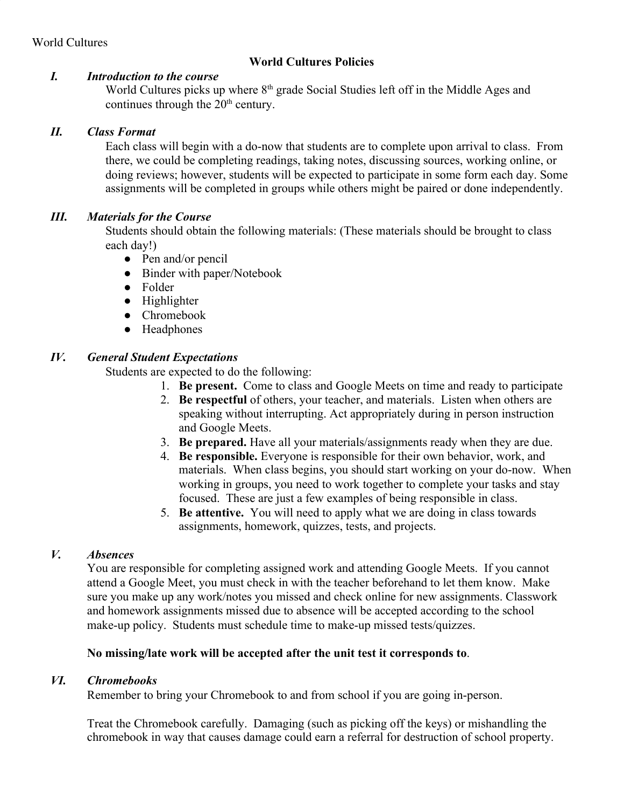# **World Cultures Policies**

#### *I. Introduction to the course*

World Cultures picks up where 8<sup>th</sup> grade Social Studies left off in the Middle Ages and continues through the  $20<sup>th</sup>$  century.

### *II. Class Format*

Each class will begin with a do-now that students are to complete upon arrival to class. From there, we could be completing readings, taking notes, discussing sources, working online, or doing reviews; however, students will be expected to participate in some form each day. Some assignments will be completed in groups while others might be paired or done independently.

## *III. Materials for the Course*

Students should obtain the following materials: (These materials should be brought to class each day!)

- Pen and/or pencil
- Binder with paper/Notebook
- Folder
- Highlighter
- Chromebook
- Headphones

## *IV. General Student Expectations*

Students are expected to do the following:

- 1. **Be present.** Come to class and Google Meets on time and ready to participate
- 2. **Be respectful** of others, your teacher, and materials. Listen when others are speaking without interrupting. Act appropriately during in person instruction and Google Meets.
- 3. **Be prepared.** Have all your materials/assignments ready when they are due.
- 4. **Be responsible.** Everyone is responsible for their own behavior, work, and materials. When class begins, you should start working on your do-now. When working in groups, you need to work together to complete your tasks and stay focused. These are just a few examples of being responsible in class.
- 5. **Be attentive.** You will need to apply what we are doing in class towards assignments, homework, quizzes, tests, and projects.

### *V. Absences*

You are responsible for completing assigned work and attending Google Meets. If you cannot attend a Google Meet, you must check in with the teacher beforehand to let them know. Make sure you make up any work/notes you missed and check online for new assignments. Classwork and homework assignments missed due to absence will be accepted according to the school make-up policy. Students must schedule time to make-up missed tests/quizzes.

### **No missing/late work will be accepted after the unit test it corresponds to**.

### *VI. Chromebooks*

Remember to bring your Chromebook to and from school if you are going in-person.

Treat the Chromebook carefully. Damaging (such as picking off the keys) or mishandling the chromebook in way that causes damage could earn a referral for destruction of school property.